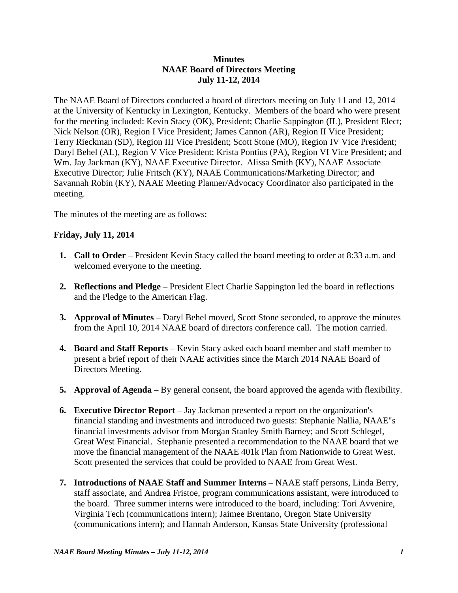## **Minutes NAAE Board of Directors Meeting July 11-12, 2014**

The NAAE Board of Directors conducted a board of directors meeting on July 11 and 12, 2014 at the University of Kentucky in Lexington, Kentucky. Members of the board who were present for the meeting included: Kevin Stacy (OK), President; Charlie Sappington (IL), President Elect; Nick Nelson (OR), Region I Vice President; James Cannon (AR), Region II Vice President; Terry Rieckman (SD), Region III Vice President; Scott Stone (MO), Region IV Vice President; Daryl Behel (AL), Region V Vice President; Krista Pontius (PA), Region VI Vice President; and Wm. Jay Jackman (KY), NAAE Executive Director. Alissa Smith (KY), NAAE Associate Executive Director; Julie Fritsch (KY), NAAE Communications/Marketing Director; and Savannah Robin (KY), NAAE Meeting Planner/Advocacy Coordinator also participated in the meeting.

The minutes of the meeting are as follows:

## **Friday, July 11, 2014**

- **1. Call to Order** President Kevin Stacy called the board meeting to order at 8:33 a.m. and welcomed everyone to the meeting.
- **2. Reflections and Pledge** President Elect Charlie Sappington led the board in reflections and the Pledge to the American Flag.
- **3. Approval of Minutes**  Daryl Behel moved, Scott Stone seconded, to approve the minutes from the April 10, 2014 NAAE board of directors conference call. The motion carried.
- **4. Board and Staff Reports**  Kevin Stacy asked each board member and staff member to present a brief report of their NAAE activities since the March 2014 NAAE Board of Directors Meeting.
- **5. Approval of Agenda** By general consent, the board approved the agenda with flexibility.
- **6. Executive Director Report** Jay Jackman presented a report on the organization's financial standing and investments and introduced two guests: Stephanie Nallia, NAAE"s financial investments advisor from Morgan Stanley Smith Barney; and Scott Schlegel, Great West Financial. Stephanie presented a recommendation to the NAAE board that we move the financial management of the NAAE 401k Plan from Nationwide to Great West. Scott presented the services that could be provided to NAAE from Great West.
- **7. Introductions of NAAE Staff and Summer Interns** NAAE staff persons, Linda Berry, staff associate, and Andrea Fristoe, program communications assistant, were introduced to the board. Three summer interns were introduced to the board, including: Tori Avvenire, Virginia Tech (communications intern); Jaimee Brentano, Oregon State University (communications intern); and Hannah Anderson, Kansas State University (professional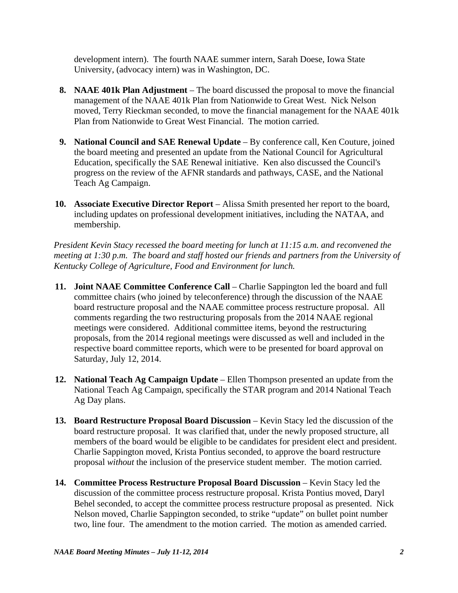development intern). The fourth NAAE summer intern, Sarah Doese, Iowa State University, (advocacy intern) was in Washington, DC.

- **8. NAAE 401k Plan Adjustment** The board discussed the proposal to move the financial management of the NAAE 401k Plan from Nationwide to Great West. Nick Nelson moved, Terry Rieckman seconded, to move the financial management for the NAAE 401k Plan from Nationwide to Great West Financial. The motion carried.
- **9. National Council and SAE Renewal Update** By conference call, Ken Couture, joined the board meeting and presented an update from the National Council for Agricultural Education, specifically the SAE Renewal initiative. Ken also discussed the Council's progress on the review of the AFNR standards and pathways, CASE, and the National Teach Ag Campaign.
- **10. Associate Executive Director Report** Alissa Smith presented her report to the board, including updates on professional development initiatives, including the NATAA, and membership.

*President Kevin Stacy recessed the board meeting for lunch at 11:15 a.m. and reconvened the meeting at 1:30 p.m. The board and staff hosted our friends and partners from the University of Kentucky College of Agriculture, Food and Environment for lunch.* 

- **11. Joint NAAE Committee Conference Call** Charlie Sappington led the board and full committee chairs (who joined by teleconference) through the discussion of the NAAE board restructure proposal and the NAAE committee process restructure proposal. All comments regarding the two restructuring proposals from the 2014 NAAE regional meetings were considered. Additional committee items, beyond the restructuring proposals, from the 2014 regional meetings were discussed as well and included in the respective board committee reports, which were to be presented for board approval on Saturday, July 12, 2014.
- **12. National Teach Ag Campaign Update** Ellen Thompson presented an update from the National Teach Ag Campaign, specifically the STAR program and 2014 National Teach Ag Day plans.
- **13. Board Restructure Proposal Board Discussion** Kevin Stacy led the discussion of the board restructure proposal. It was clarified that, under the newly proposed structure, all members of the board would be eligible to be candidates for president elect and president. Charlie Sappington moved, Krista Pontius seconded, to approve the board restructure proposal *without* the inclusion of the preservice student member. The motion carried.
- **14. Committee Process Restructure Proposal Board Discussion Kevin Stacy led the** discussion of the committee process restructure proposal. Krista Pontius moved, Daryl Behel seconded, to accept the committee process restructure proposal as presented. Nick Nelson moved, Charlie Sappington seconded, to strike "update" on bullet point number two, line four. The amendment to the motion carried. The motion as amended carried.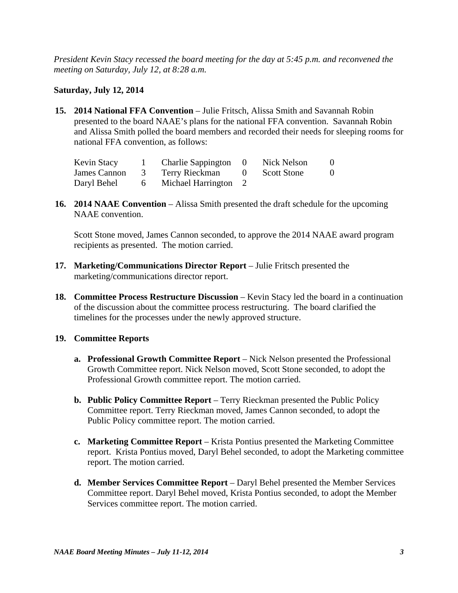*President Kevin Stacy recessed the board meeting for the day at 5:45 p.m. and reconvened the meeting on Saturday, July 12, at 8:28 a.m.* 

## **Saturday, July 12, 2014**

**15. 2014 National FFA Convention** – Julie Fritsch, Alissa Smith and Savannah Robin presented to the board NAAE's plans for the national FFA convention. Savannah Robin and Alissa Smith polled the board members and recorded their needs for sleeping rooms for national FFA convention, as follows:

| Kevin Stacy  |   | <b>Charlie Sappington</b> | $\bigcirc$ | Nick Nelson        | $\theta$ |
|--------------|---|---------------------------|------------|--------------------|----------|
| James Cannon |   | 3 Terry Rieckman 0        |            | <b>Scott Stone</b> | $\theta$ |
| Daryl Behel  | 6 | Michael Harrington 2      |            |                    |          |

**16. 2014 NAAE Convention** – Alissa Smith presented the draft schedule for the upcoming NAAE convention.

 Scott Stone moved, James Cannon seconded, to approve the 2014 NAAE award program recipients as presented. The motion carried.

- **17. Marketing/Communications Director Report** Julie Fritsch presented the marketing/communications director report.
- **18. Committee Process Restructure Discussion** Kevin Stacy led the board in a continuation of the discussion about the committee process restructuring. The board clarified the timelines for the processes under the newly approved structure.

## **19. Committee Reports**

- **a. Professional Growth Committee Report** Nick Nelson presented the Professional Growth Committee report. Nick Nelson moved, Scott Stone seconded, to adopt the Professional Growth committee report. The motion carried.
- **b. Public Policy Committee Report** Terry Rieckman presented the Public Policy Committee report. Terry Rieckman moved, James Cannon seconded, to adopt the Public Policy committee report. The motion carried.
- **c. Marketing Committee Report** Krista Pontius presented the Marketing Committee report. Krista Pontius moved, Daryl Behel seconded, to adopt the Marketing committee report. The motion carried.
- **d. Member Services Committee Report**  Daryl Behel presented the Member Services Committee report. Daryl Behel moved, Krista Pontius seconded, to adopt the Member Services committee report. The motion carried.